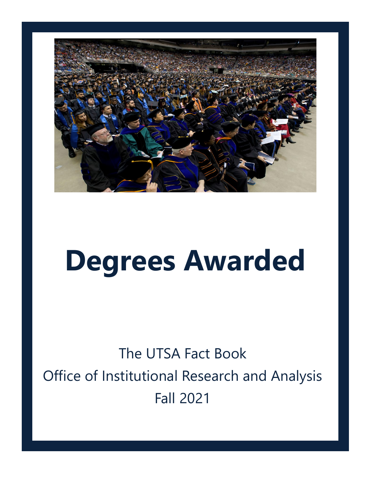

# **Degrees Awarded**

## The UTSA Fact Book Office of Institutional Research and Analysis Fall 2021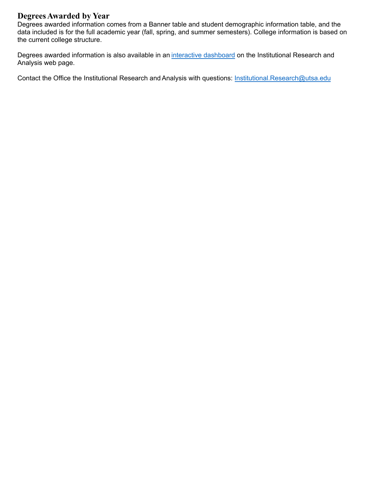#### **Degrees Awarded by Year**

Degrees awarded information comes from a Banner table and student demographic information table, and the data included is for the full academic year (fall, spring, and summer semesters). College information is based on the current college structure.

Degrees awarded information is also available in an [interactive dashboard](https://www.utsa.edu/ir/content/dashboards/degrees-awarded.html) on the Institutional Research and Analysis web page.

Contact the Office the Institutional Research and Analysis with questions: Institutional.Research@utsa.edu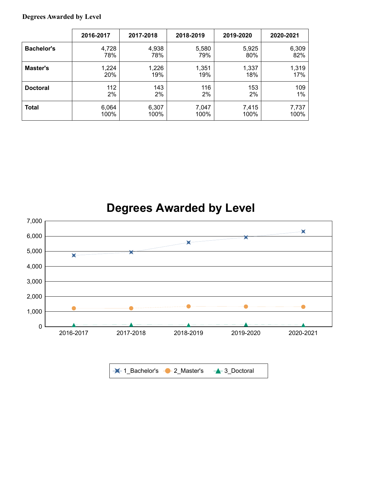#### **Degrees Awarded by Level**

|                   | 2016-2017 | 2017-2018 | 2018-2019 | 2019-2020 | 2020-2021 |
|-------------------|-----------|-----------|-----------|-----------|-----------|
| <b>Bachelor's</b> | 4,728     | 4,938     | 5,580     | 5,925     | 6,309     |
|                   | 78%       | 78%       | 79%       | 80%       | 82%       |
| Master's          | 1,224     | 1,226     | 1,351     | 1,337     | 1,319     |
|                   | 20%       | 19%       | 19%       | 18%       | 17%       |
| <b>Doctoral</b>   | 112       | 143       | 116       | 153       | 109       |
|                   | 2%        | 2%        | 2%        | 2%        | 1%        |
| <b>Total</b>      | 6,064     | 6,307     | 7,047     | 7,415     | 7,737     |
|                   | 100%      | 100%      | 100%      | 100%      | 100%      |

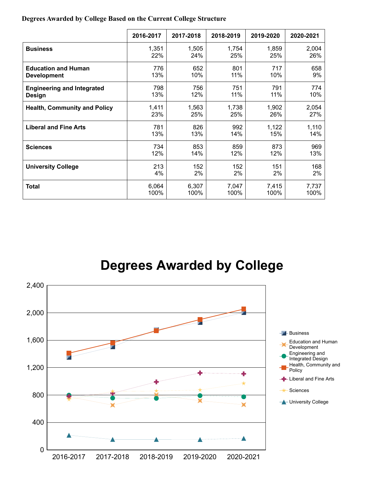|  |  |  |  | Degrees Awarded by College Based on the Current College Structure |
|--|--|--|--|-------------------------------------------------------------------|
|  |  |  |  |                                                                   |

|                                     | 2016-2017 | 2017-2018 | 2018-2019 | 2019-2020 | 2020-2021 |
|-------------------------------------|-----------|-----------|-----------|-----------|-----------|
| <b>Business</b>                     | 1,351     | 1,505     | 1,754     | 1,859     | 2,004     |
|                                     | 22%       | 24%       | 25%       | 25%       | 26%       |
| <b>Education and Human</b>          | 776       | 652       | 801       | 717       | 658       |
| <b>Development</b>                  | 13%       | 10%       | 11%       | 10%       | 9%        |
| <b>Engineering and Integrated</b>   | 798       | 756       | 751       | 791       | 774       |
| <b>Design</b>                       | 13%       | 12%       | 11%       | 11%       | 10%       |
| <b>Health, Community and Policy</b> | 1,411     | 1,563     | 1,738     | 1,902     | 2,054     |
|                                     | 23%       | 25%       | 25%       | 26%       | 27%       |
| <b>Liberal and Fine Arts</b>        | 781       | 826       | 992       | 1,122     | 1,110     |
|                                     | 13%       | 13%       | 14%       | 15%       | 14%       |
| <b>Sciences</b>                     | 734       | 853       | 859       | 873       | 969       |
|                                     | 12%       | 14%       | 12%       | 12%       | 13%       |
| <b>University College</b>           | 213       | 152       | 152       | 151       | 168       |
|                                     | 4%        | 2%        | 2%        | 2%        | 2%        |
| <b>Total</b>                        | 6,064     | 6,307     | 7,047     | 7,415     | 7,737     |
|                                     | 100%      | 100%      | 100%      | 100%      | 100%      |

**Degrees Awarded by College**

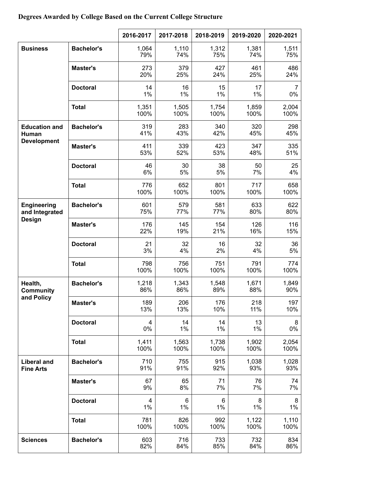#### **Degrees Awarded by College Based on the Current College Structure**

|                                        |                   | 2016-2017            | 2017-2018     | 2018-2019     | 2019-2020     | 2020-2021     |
|----------------------------------------|-------------------|----------------------|---------------|---------------|---------------|---------------|
| <b>Business</b>                        | <b>Bachelor's</b> | 1,064<br>79%         | 1,110<br>74%  | 1,312<br>75%  | 1,381<br>74%  | 1,511<br>75%  |
|                                        | <b>Master's</b>   | 273<br>20%           | 379<br>25%    | 427<br>24%    | 461<br>25%    | 486<br>24%    |
|                                        | <b>Doctoral</b>   | 14<br>1%             | 16<br>1%      | 15<br>1%      | 17<br>1%      | 7<br>$0\%$    |
|                                        | <b>Total</b>      | 1,351<br>100%        | 1,505<br>100% | 1,754<br>100% | 1,859<br>100% | 2,004<br>100% |
| <b>Education and</b><br>Human          | <b>Bachelor's</b> | 319<br>41%           | 283<br>43%    | 340<br>42%    | 320<br>45%    | 298<br>45%    |
| <b>Development</b>                     | <b>Master's</b>   | 411<br>53%           | 339<br>52%    | 423<br>53%    | 347<br>48%    | 335<br>51%    |
|                                        | <b>Doctoral</b>   | 46<br>6%             | 30<br>5%      | 38<br>5%      | 50<br>7%      | 25<br>4%      |
|                                        | <b>Total</b>      | 776<br>100%          | 652<br>100%   | 801<br>100%   | 717<br>100%   | 658<br>100%   |
| <b>Engineering</b><br>and Integrated   | <b>Bachelor's</b> | 601<br>75%           | 579<br>77%    | 581<br>77%    | 633<br>80%    | 622<br>80%    |
| <b>Design</b>                          | Master's          | 176<br>22%           | 145<br>19%    | 154<br>21%    | 126<br>16%    | 116<br>15%    |
|                                        | <b>Doctoral</b>   | 21<br>3%             | 32<br>4%      | 16<br>2%      | 32<br>4%      | 36<br>5%      |
|                                        | <b>Total</b>      | 798<br>100%          | 756<br>100%   | 751<br>100%   | 791<br>100%   | 774<br>100%   |
| Health,<br><b>Community</b>            | <b>Bachelor's</b> | 1,218<br>86%         | 1,343<br>86%  | 1,548<br>89%  | 1,671<br>88%  | 1,849<br>90%  |
| and Policy                             | Master's          | 189<br>13%           | 206<br>13%    | 176<br>10%    | 218<br>11%    | 197<br>10%    |
|                                        | <b>Doctoral</b>   | $\overline{4}$<br>0% | 14<br>1%      | 14<br>1%      | 13<br>1%      | 8<br>$0\%$    |
|                                        | <b>Total</b>      | 1,411<br>100%        | 1,563<br>100% | 1,738<br>100% | 1,902<br>100% | 2,054<br>100% |
| <b>Liberal and</b><br><b>Fine Arts</b> | <b>Bachelor's</b> | 710<br>91%           | 755<br>91%    | 915<br>92%    | 1,038<br>93%  | 1,028<br>93%  |
|                                        | Master's          | 67<br>9%             | 65<br>8%      | 71<br>7%      | 76<br>7%      | 74<br>7%      |
|                                        | <b>Doctoral</b>   | $\overline{4}$<br>1% | 6<br>1%       | 6<br>1%       | 8<br>1%       | 8<br>$1\%$    |
|                                        | <b>Total</b>      | 781<br>100%          | 826<br>100%   | 992<br>100%   | 1,122<br>100% | 1,110<br>100% |
| <b>Sciences</b>                        | <b>Bachelor's</b> | 603<br>82%           | 716<br>84%    | 733<br>85%    | 732<br>84%    | 834<br>86%    |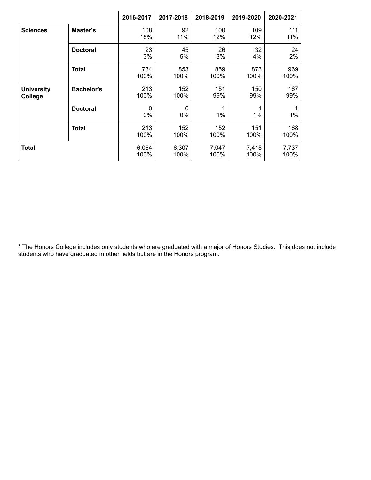|                              |                   | 2016-2017          | 2017-2018     | 2018-2019     | 2019-2020     | 2020-2021     |
|------------------------------|-------------------|--------------------|---------------|---------------|---------------|---------------|
| <b>Sciences</b>              | Master's          | 108<br>15%         | 92<br>11%     | 100<br>12%    | 109<br>12%    | 111<br>11%    |
|                              | <b>Doctoral</b>   | 23<br>3%           | 45<br>5%      | 26<br>3%      | 32<br>4%      | 24<br>2%      |
|                              | <b>Total</b>      | 734<br>100%        | 853<br>100%   | 859<br>100%   | 873<br>100%   | 969<br>100%   |
| <b>University</b><br>College | <b>Bachelor's</b> | 213<br>100%        | 152<br>100%   | 151<br>99%    | 150<br>99%    | 167<br>99%    |
|                              | <b>Doctoral</b>   | $\mathbf{0}$<br>0% | 0<br>0%       | 1<br>1%       | 1%            | 1%            |
|                              | <b>Total</b>      | 213<br>100%        | 152<br>100%   | 152<br>100%   | 151<br>100%   | 168<br>100%   |
| <b>Total</b>                 |                   | 6,064<br>100%      | 6,307<br>100% | 7,047<br>100% | 7,415<br>100% | 7,737<br>100% |

\* The Honors College includes only students who are graduated with a major of Honors Studies. This does not include students who have graduated in other fields but are in the Honors program.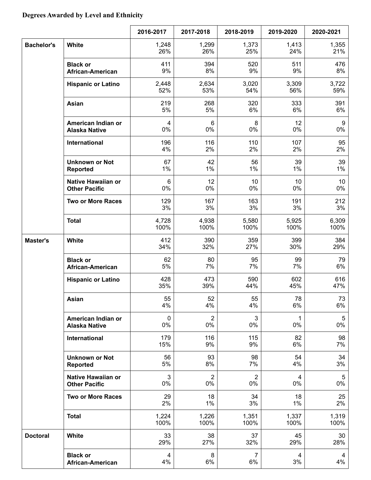#### **Degrees Awarded by Level and Ethnicity**

|                   |                                                   | 2016-2017         | 2017-2018               | 2018-2019            | 2019-2020          | 2020-2021               |
|-------------------|---------------------------------------------------|-------------------|-------------------------|----------------------|--------------------|-------------------------|
| <b>Bachelor's</b> | White                                             | 1,248<br>26%      | 1,299<br>26%            | 1,373<br>25%         | 1,413<br>24%       | 1,355<br>21%            |
|                   | <b>Black or</b><br>African-American               | 411<br>9%         | 394<br>8%               | 520<br>9%            | 511<br>9%          | 476<br>8%               |
|                   | <b>Hispanic or Latino</b>                         | 2,448<br>52%      | 2,634<br>53%            | 3,020<br>54%         | 3,309<br>56%       | 3,722<br>59%            |
|                   | Asian                                             | 219<br>5%         | 268<br>5%               | 320<br>6%            | 333<br>6%          | 391<br>6%               |
|                   | American Indian or<br><b>Alaska Native</b>        | 4<br>0%           | 6<br>$0\%$              | 8<br>$0\%$           | 12<br>0%           | 9<br>0%                 |
|                   | International                                     | 196<br>4%         | 116<br>2%               | 110<br>2%            | 107<br>2%          | 95<br>2%                |
|                   | <b>Unknown or Not</b><br><b>Reported</b>          | 67<br>1%          | 42<br>1%                | 56<br>1%             | 39<br>$1\%$        | 39<br>1%                |
|                   | <b>Native Hawaiian or</b><br><b>Other Pacific</b> | 6<br>0%           | 12<br>0%                | 10<br>0%             | 10<br>0%           | 10<br>$0\%$             |
|                   | <b>Two or More Races</b>                          | 129<br>3%         | 167<br>3%               | 163<br>3%            | 191<br>3%          | 212<br>3%               |
|                   | <b>Total</b>                                      | 4,728<br>100%     | 4,938<br>100%           | 5,580<br>100%        | 5,925<br>100%      | 6,309<br>100%           |
| <b>Master's</b>   | White                                             | 412<br>34%        | 390<br>32%              | 359<br>27%           | 399<br>30%         | 384<br>29%              |
|                   | <b>Black or</b><br>African-American               | 62<br>5%          | 80<br>7%                | 95<br>7%             | 99<br>7%           | 79<br>6%                |
|                   | <b>Hispanic or Latino</b>                         | 428<br>35%        | 473<br>39%              | 590<br>44%           | 602<br>45%         | 616<br>47%              |
|                   | Asian                                             | 55<br>4%          | 52<br>4%                | 55<br>4%             | 78<br>6%           | 73<br>6%                |
|                   | American Indian or<br><b>Alaska Native</b>        | $\mathbf 0$<br>0% | $\overline{2}$<br>0%    | 3<br>0%              | $\mathbf{1}$<br>0% | $\overline{5}$<br>$0\%$ |
|                   | International                                     | 179<br>15%        | 116<br>9%               | 115<br>9%            | 82<br>6%           | 98<br>7%                |
|                   | <b>Unknown or Not</b><br><b>Reported</b>          | 56<br>5%          | 93<br>8%                | 98<br>7%             | 54<br>4%           | 34<br>3%                |
|                   | Native Hawaiian or<br><b>Other Pacific</b>        | 3<br>0%           | $\overline{2}$<br>$0\%$ | $\overline{2}$<br>0% | 4<br>0%            | $\overline{5}$<br>0%    |
|                   | <b>Two or More Races</b>                          | 29<br>2%          | 18<br>1%                | 34<br>3%             | 18<br>$1\%$        | 25<br>2%                |
|                   | <b>Total</b>                                      | 1,224<br>100%     | 1,226<br>100%           | 1,351<br>100%        | 1,337<br>100%      | 1,319<br>100%           |
| <b>Doctoral</b>   | White                                             | 33<br>29%         | 38<br>27%               | 37<br>32%            | 45<br>29%          | 30<br>28%               |
|                   | <b>Black or</b><br>African-American               | 4<br>4%           | 8<br>6%                 | $\overline{7}$<br>6% | 4<br>3%            | 4<br>4%                 |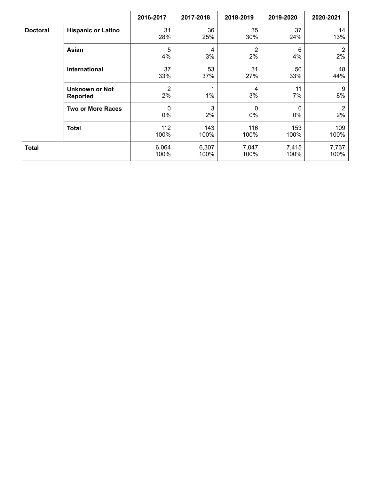|                 |                                          | 2016-2017          | 2017-2018     | 2018-2019            | 2019-2020     | 2020-2021            |
|-----------------|------------------------------------------|--------------------|---------------|----------------------|---------------|----------------------|
| <b>Doctoral</b> | <b>Hispanic or Latino</b>                | 31<br>28%          | 36<br>25%     | 35<br>30%            | 37<br>24%     | 14<br>13%            |
|                 | Asian                                    | 5<br>4%            | 4<br>3%       | $\overline{2}$<br>2% | 6<br>4%       | $\overline{2}$<br>2% |
|                 | International                            | 37<br>33%          | 53<br>37%     | 31<br>27%            | 50<br>33%     | 48<br>44%            |
|                 | <b>Unknown or Not</b><br><b>Reported</b> | 2<br>2%            | 1%            | 4<br>3%              | 11<br>7%      | 9<br>8%              |
|                 | <b>Two or More Races</b>                 | $\mathbf{0}$<br>0% | 3<br>2%       | $\Omega$<br>0%       | 0<br>0%       | $\overline{2}$<br>2% |
|                 | <b>Total</b>                             | 112<br>100%        | 143<br>100%   | 116<br>100%          | 153<br>100%   | 109<br>100%          |
| <b>Total</b>    |                                          | 6,064<br>100%      | 6,307<br>100% | 7,047<br>100%        | 7,415<br>100% | 7,737<br>100%        |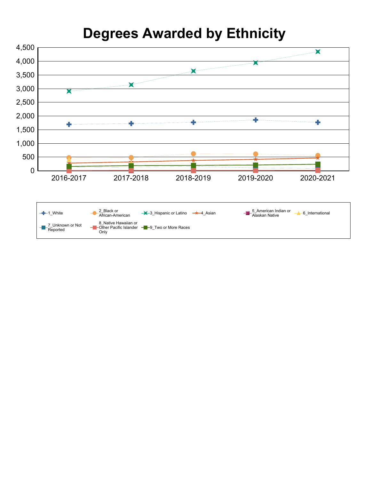### **Degrees Awarded by Ethnicity**